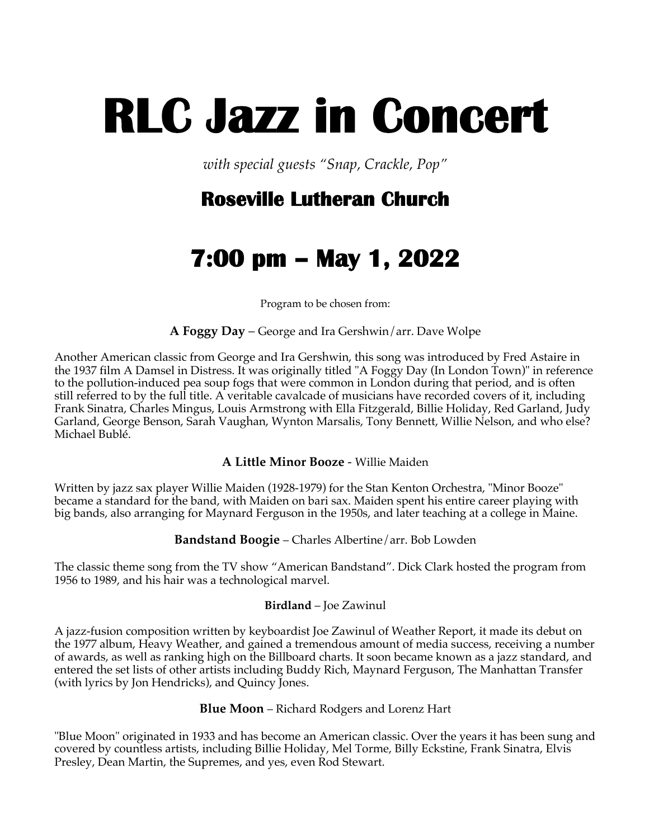# **RLC Jazz in Concert**

*with special guests "Snap, Crackle, Pop"*

# **Roseville Lutheran Church**

# **7:00 pm – May 1, 2022**

Program to be chosen from:

**A Foggy Day** – George and Ira Gershwin/arr. Dave Wolpe

Another American classic from George and Ira Gershwin, this song was introduced by Fred Astaire in the 1937 film A Damsel in Distress. It was originally titled "A Foggy Day (In London Town)" in reference to the pollution-induced pea soup fogs that were common in London during that period, and is often still referred to by the full title. A veritable cavalcade of musicians have recorded covers of it, including Frank Sinatra, Charles Mingus, Louis Armstrong with Ella Fitzgerald, Billie Holiday, Red Garland, Judy Garland, George Benson, Sarah Vaughan, Wynton Marsalis, Tony Bennett, Willie Nelson, and who else? Michael Bublé.

#### **A Little Minor Booze** - Willie Maiden

Written by jazz sax player Willie Maiden (1928-1979) for the Stan Kenton Orchestra, "Minor Booze" became a standard for the band, with Maiden on bari sax. Maiden spent his entire career playing with big bands, also arranging for Maynard Ferguson in the 1950s, and later teaching at a college in Maine.

#### **Bandstand Boogie** – Charles Albertine/arr. Bob Lowden

The classic theme song from the TV show "American Bandstand". Dick Clark hosted the program from 1956 to 1989, and his hair was a technological marvel.

#### **Birdland** – Joe Zawinul

A jazz-fusion composition written by keyboardist Joe Zawinul of Weather Report, it made its debut on the 1977 album, Heavy Weather, and gained a tremendous amount of media success, receiving a number of awards, as well as ranking high on the Billboard charts. It soon became known as a jazz standard, and entered the set lists of other artists including Buddy Rich, Maynard Ferguson, The Manhattan Transfer (with lyrics by Jon Hendricks), and Quincy Jones.

#### **Blue Moon** – Richard Rodgers and Lorenz Hart

"Blue Moon" originated in 1933 and has become an American classic. Over the years it has been sung and covered by countless artists, including Billie Holiday, Mel Torme, Billy Eckstine, Frank Sinatra, Elvis Presley, Dean Martin, the Supremes, and yes, even Rod Stewart.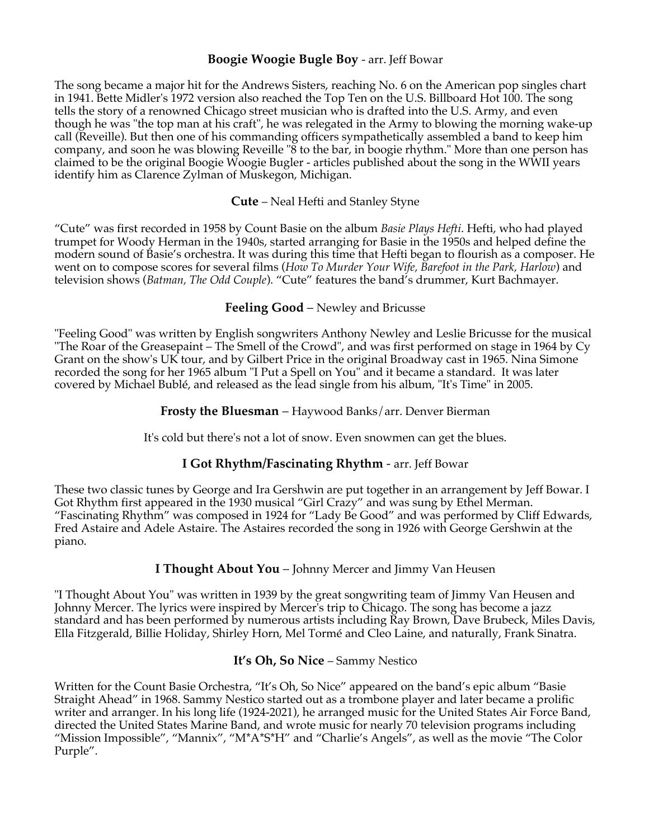#### **Boogie Woogie Bugle Boy** - arr. Jeff Bowar

The song became a major hit for the Andrews Sisters, reaching No. 6 on the American pop singles chart in 1941. Bette Midler's 1972 version also reached the Top Ten on the U.S. Billboard Hot 100. The song tells the story of a renowned Chicago street musician who is drafted into the U.S. Army, and even though he was "the top man at his craft", he was relegated in the Army to blowing the morning wake-up call (Reveille). But then one of his commanding officers sympathetically assembled a band to keep him company, and soon he was blowing Reveille "8 to the bar, in boogie rhythm." More than one person has claimed to be the original Boogie Woogie Bugler - articles published about the song in the WWII years identify him as Clarence Zylman of Muskegon, Michigan.

#### **Cute** – Neal Hefti and Stanley Styne

"Cute" was first recorded in 1958 by Count Basie on the album *Basie Plays Hefti*. Hefti, who had played trumpet for Woody Herman in the 1940s, started arranging for Basie in the 1950s and helped define the modern sound of Basie's orchestra. It was during this time that Hefti began to flourish as a composer. He went on to compose scores for several films (*How To Murder Your Wife, Barefoot in the Park, Harlow*) and television shows (*Batman, The Odd Couple*). "Cute" features the band's drummer, Kurt Bachmayer.

#### **Feeling Good** – Newley and Bricusse

"Feeling Good" was written by English songwriters Anthony Newley and Leslie Bricusse for the musical "The Roar of the Greasepaint – The Smell of the Crowd", and was first performed on stage in 1964 by Cy Grant on the show's UK tour, and by Gilbert Price in the original Broadway cast in 1965. Nina Simone recorded the song for her 1965 album "I Put a Spell on You" and it became a standard. It was later covered by Michael Bublé, and released as the lead single from his album, "It's Time" in 2005.

#### **Frosty the Bluesman** – Haywood Banks/arr. Denver Bierman

It's cold but there's not a lot of snow. Even snowmen can get the blues.

#### **I Got Rhythm/Fascinating Rhythm** - arr. Jeff Bowar

These two classic tunes by George and Ira Gershwin are put together in an arrangement by Jeff Bowar. I Got Rhythm first appeared in the 1930 musical "Girl Crazy" and was sung by Ethel Merman. "Fascinating Rhythm" was composed in 1924 for "Lady Be Good" and was performed by Cliff Edwards, Fred Astaire and Adele Astaire. The Astaires recorded the song in 1926 with George Gershwin at the piano.

#### **I Thought About You** – Johnny Mercer and Jimmy Van Heusen

"I Thought About You" was written in 1939 by the great songwriting team of Jimmy Van Heusen and Johnny Mercer. The lyrics were inspired by Mercer's trip to Chicago. The song has become a jazz standard and has been performed by numerous artists including Ray Brown, Dave Brubeck, Miles Davis, Ella Fitzgerald, Billie Holiday, Shirley Horn, Mel Tormé and Cleo Laine, and naturally, Frank Sinatra.

#### **It's Oh, So Nice** – Sammy Nestico

Written for the Count Basie Orchestra, "It's Oh, So Nice" appeared on the band's epic album "Basie Straight Ahead" in 1968. Sammy Nestico started out as a trombone player and later became a prolific writer and arranger. In his long life (1924-2021), he arranged music for the United States Air Force Band, directed the United States Marine Band, and wrote music for nearly 70 television programs including "Mission Impossible", "Mannix", "M\*A\*S\*H" and "Charlie's Angels", as well as the movie "The Color Purple".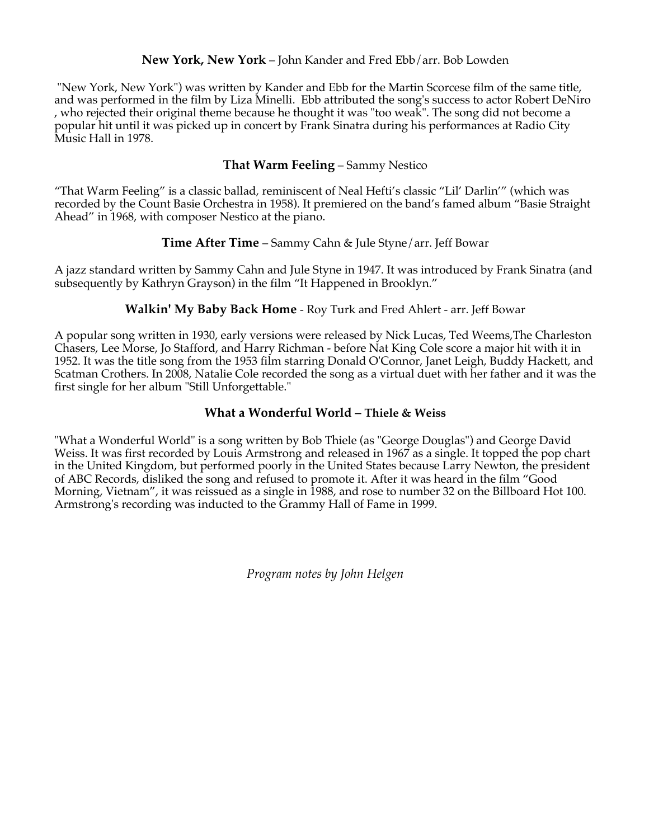#### **New York, New York** – John Kander and Fred Ebb/arr. Bob Lowden

"New York, New York") was written by Kander and Ebb for the Martin Scorcese film of the same title, and was performed in the film by Liza Minelli. Ebb attributed the song's success to actor Robert DeNiro , who rejected their original theme because he thought it was "too weak". The song did not become a popular hit until it was picked up in concert by Frank Sinatra during his performances at Radio City Music Hall in 1978.

#### **That Warm Feeling** – Sammy Nestico

"That Warm Feeling" is a classic ballad, reminiscent of Neal Hefti's classic "Lil' Darlin'" (which was recorded by the Count Basie Orchestra in 1958). It premiered on the band's famed album "Basie Straight Ahead" in 1968, with composer Nestico at the piano.

#### **Time After Time** – Sammy Cahn & Jule Styne/arr. Jeff Bowar

A jazz standard written by Sammy Cahn and Jule Styne in 1947. It was introduced by Frank Sinatra (and subsequently by Kathryn Grayson) in the film "It Happened in Brooklyn."

#### **Walkin' My Baby Back Home** - Roy Turk and Fred Ahlert - arr. Jeff Bowar

A popular song written in 1930, early versions were released by Nick Lucas, Ted Weems,The Charleston Chasers, Lee Morse, Jo Stafford, and Harry Richman - before Nat King Cole score a major hit with it in 1952. It was the title song from the 1953 film starring Donald O'Connor, Janet Leigh, Buddy Hackett, and Scatman Crothers. In 2008, Natalie Cole recorded the song as a virtual duet with her father and it was the first single for her album "Still Unforgettable."

#### **What a Wonderful World – Thiele & Weiss**

"What a Wonderful World" is a song written by Bob Thiele (as "George Douglas") and George David Weiss. It was first recorded by Louis Armstrong and released in 1967 as a single. It topped the pop chart in the United Kingdom, but performed poorly in the United States because Larry Newton, the president of ABC Records, disliked the song and refused to promote it. After it was heard in the film "Good Morning, Vietnam", it was reissued as a single in 1988, and rose to number 32 on the Billboard Hot 100. Armstrong's recording was inducted to the Grammy Hall of Fame in 1999.

*Program notes by John Helgen*